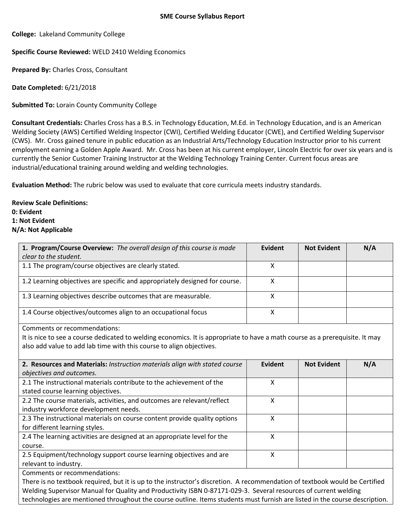**College:** Lakeland Community College

**Specific Course Reviewed:** WELD 2410 Welding Economics

**Prepared By:** Charles Cross, Consultant

**Date Completed:** 6/21/2018

**Submitted To:** Lorain County Community College

**Consultant Credentials:** Charles Cross has a B.S. in Technology Education, M.Ed. in Technology Education, and is an American Welding Society (AWS) Certified Welding Inspector (CWI), Certified Welding Educator (CWE), and Certified Welding Supervisor (CWS). Mr. Cross gained tenure in public education as an Industrial Arts/Technology Education Instructor prior to his current employment earning a Golden Apple Award. Mr. Cross has been at his current employer, Lincoln Electric for over six years and is currently the Senior Customer Training Instructor at the Welding Technology Training Center. Current focus areas are industrial/educational training around welding and welding technologies.

**Evaluation Method:** The rubric below was used to evaluate that core curricula meets industry standards.

**Review Scale Definitions: 0: Evident 1: Not Evident N/A: Not Applicable**

| 1. Program/Course Overview: The overall design of this course is made       | Evident | <b>Not Evident</b> | N/A |
|-----------------------------------------------------------------------------|---------|--------------------|-----|
| clear to the student.                                                       |         |                    |     |
| 1.1 The program/course objectives are clearly stated.                       | х       |                    |     |
| 1.2 Learning objectives are specific and appropriately designed for course. | х       |                    |     |
| 1.3 Learning objectives describe outcomes that are measurable.              | x       |                    |     |
| 1.4 Course objectives/outcomes align to an occupational focus               | х       |                    |     |
| Comments or recommendations:                                                |         |                    |     |

It is nice to see a course dedicated to welding economics. It is appropriate to have a math course as a prerequisite. It may also add value to add lab time with this course to align objectives.

| 2. Resources and Materials: Instruction materials align with stated course | <b>Evident</b> | <b>Not Evident</b> | N/A |
|----------------------------------------------------------------------------|----------------|--------------------|-----|
| objectives and outcomes.                                                   |                |                    |     |
| 2.1 The instructional materials contribute to the achievement of the       | χ              |                    |     |
| stated course learning objectives.                                         |                |                    |     |
| 2.2 The course materials, activities, and outcomes are relevant/reflect    | х              |                    |     |
| industry workforce development needs.                                      |                |                    |     |
| 2.3 The instructional materials on course content provide quality options  | χ              |                    |     |
| for different learning styles.                                             |                |                    |     |
| 2.4 The learning activities are designed at an appropriate level for the   | χ              |                    |     |
| course.                                                                    |                |                    |     |
| 2.5 Equipment/technology support course learning objectives and are        | x              |                    |     |
| relevant to industry.                                                      |                |                    |     |
| Comments or recommendations.                                               |                |                    |     |

Comments or recommendations:

There is no textbook required, but it is up to the instructor's discretion. A recommendation of textbook would be Certified Welding Supervisor Manual for Quality and Productivity ISBN 0-87171-029-3. Several resources of current welding technologies are mentioned throughout the course outline. Items students must furnish are listed in the course description.